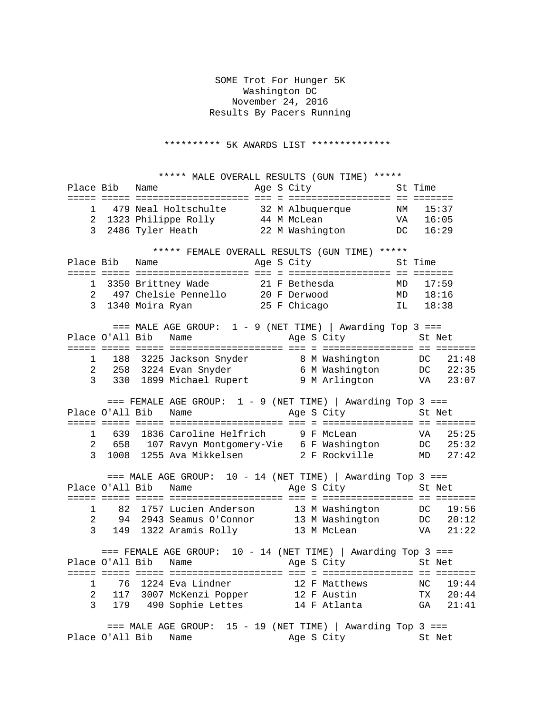SOME Trot For Hunger 5K Washington DC November 24, 2016 Results By Pacers Running

\*\*\*\*\*\*\*\*\*\* 5K AWARDS LIST \*\*\*\*\*\*\*\*\*\*\*\*\*\*

\*\*\*\*\* MALE OVERALL RESULTS (GUN TIME) \*\*\*\*\*<br>Place Bib Name age S City St Time Age S City ===== ===== ==================== === = ================== == ======= 1 479 Neal Holtschulte 32 M Albuquerque NM 15:37 2 1323 Philippe Rolly 44 M McLean VA 16:05 3 2486 Tyler Heath 22 M Washington DC 16:29 \*\*\*\*\* FEMALE OVERALL RESULTS (GUN TIME) \*\*\*\*\*\*<br>Place Bib Name age S City St Time Age S City ===== ===== ==================== === = ================== == ======= 1 3350 Brittney Wade 21 F Bethesda MD 17:59 2 497 Chelsie Pennello 20 F Derwood MD 18:16 3 1340 Moira Ryan 25 F Chicago IL 18:38 === MALE AGE GROUP: 1 - 9 (NET TIME) | Awarding Top 3 ===<br>All Bib Name Age S City St Net Place O'All Bib Name ===== ===== ===== ==================== === = ================ == ======= 1 188 3225 Jackson Snyder 8 M Washington DC 21:48 2 258 3224 Evan Snyder 6 M Washington DC 22:35 3 330 1899 Michael Rupert 9 M Arlington VA 23:07 === FEMALE AGE GROUP: 1 - 9 (NET TIME) | Awarding Top 3 ===<br>J'All Bib Name Age S City St Net Place O'All Bib Name ===== ===== ===== ==================== === = ================ == ======= 1 639 1836 Caroline Helfrich 9 F McLean VA 25:25 2 658 107 Ravyn Montgomery-Vie 6 F Washington DC 25:32 3 1008 1255 Ava Mikkelsen 2 F Rockville MD 27:42 === MALE AGE GROUP: 10 - 14 (NET TIME) | Awarding Top 3 === Place O'All Bib Name Age S City St Net ===== ===== ===== ==================== === = ================ == ======= 1 82 1757 Lucien Anderson 13 M Washington DC 19:56<br>2 94 2943 Seamus O'Connor 13 M Washington DC 20:12 94 2943 Seamus O'Connor 13 M Washington DC 20:12<br>149 1322 Aramis Rolly 13 M McLean 149 1322 Aramis Rolly 3 149 1322 Aramis Rolly === FEMALE AGE GROUP: 10 - 14 (NET TIME) | Awarding Top 3 === Place O'All Bib Name ===== ===== ===== ==================== === = ================ == ======= 1 76 1224 Eva Lindner 12 F Matthews NC 19:44 2 117 3007 McKenzi Popper 12 F Austin TX 20:44 3 179 490 Sophie Lettes 14 F Atlanta GA 21:41 === MALE AGE GROUP: 15 - 19 (NET TIME) | Awarding Top 3 === Place O'All Bib Name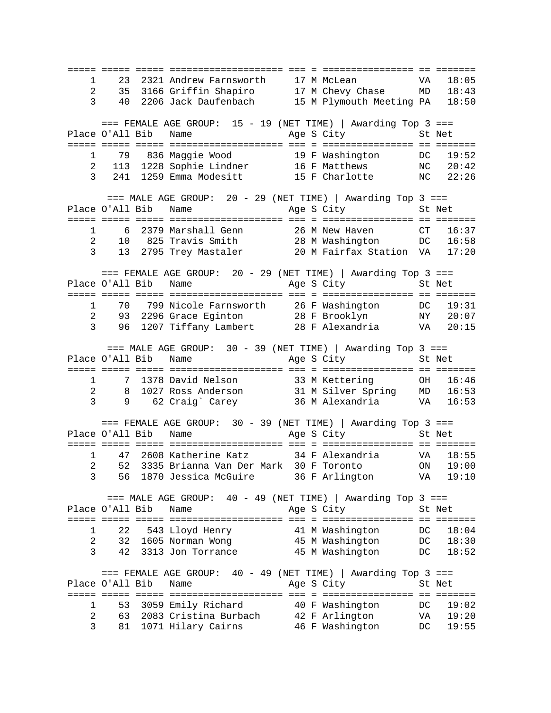===== ===== ===== ==================== === = ================ == ======= 1 23 2321 Andrew Farnsworth 17 M McLean<br>2 35 3166 Griffin Shapiro 17 M Chevy Chase 2 35 3166 Griffin Shapiro 17 M Chevy Chase MD 18:43 3 40 2206 Jack Daufenbach 15 M Plymouth Meeting PA 18:50  $==$  FEMALE AGE GROUP: 15 - 19 (NET TIME) | Awarding Top 3 === Place O'All Bib Name Age S City St Net ===== ===== ===== ==================== === = ================ == ======= 1 79 836 Maggie Wood 19 F Washington DC 19:52 2 113 1228 Sophie Lindner 16 F Matthews NC 20:42 3 241 1259 Emma Modesitt 15 F Charlotte NC 22:26 === MALE AGE GROUP: 20 - 29 (NET TIME) | Awarding Top 3 ===<br>J'All Bib Name Age S City St Net Place O'All Bib Name ===== ===== ===== ==================== === = ================ == ======= 1 6 2379 Marshall Genn 26 M New Haven CT 16:37<br>2 10 825 Travis Smith 28 M Washington DC 16:58 2 10 825 Travis Smith 28 M Washington DC 16:58 3 13 2795 Trey Mastaler 20 M Fairfax Station VA 17:20 === FEMALE AGE GROUP: 20 - 29 (NET TIME) | Awarding Top 3 ===<br>Place 0'All Bib Name Mqe S City St Net Age S City St Net ===== ===== ===== ==================== === = ================ == ======= 1 70 799 Nicole Farnsworth 26 F Washington DC 19:31 2 93 2296 Grace Eginton 28 F Brooklyn NY 20:07 3 96 1207 Tiffany Lambert 28 F Alexandria VA 20:15 === MALE AGE GROUP: 30 - 39 (NET TIME) | Awarding Top 3 ===<br>Place O'All Bib Name Mage S City St Net Age S City St Net ===== ===== ===== ==================== === = ================ == ======= 1 7 1378 David Nelson 33 M Kettering OH 16:46 2 8 1027 Ross Anderson 31 M Silver Spring MD 16:53 3 9 62 Craig` Carey 36 M Alexandria VA 16:53 === FEMALE AGE GROUP: 30 - 39 (NET TIME) | Awarding Top 3 ===<br>Place 0'All Bib Name Mqe S City St Net Age S City St Net ===== ===== ===== ==================== === = ================ == ======= 1 47 2608 Katherine Katz 34 F Alexandria VA 18:55 2 52 3335 Brianna Van Der Mark 30 F Toronto ON 19:00 3 56 1870 Jessica McGuire 36 F Arlington VA 19:10 === MALE AGE GROUP: 40 - 49 (NET TIME) | Awarding Top 3 === Place O'All Bib Name ===== ===== ===== ==================== === = ================ == ======= 1 22 543 Lloyd Henry 41 M Washington DC 18:04 2 32 1605 Norman Wong 45 M Washington DC 18:30 3 42 3313 Jon Torrance 45 M Washington DC 18:52 === FEMALE AGE GROUP: 40 - 49 (NET TIME) | Awarding Top 3 === Place O'All Bib Name ===== ===== ===== ==================== === = ================ == ======= 1 53 3059 Emily Richard 40 F Washington DC 19:02 2 63 2083 Cristina Burbach 42 F Arlington VA 19:20 3 81 1071 Hilary Cairns 46 F Washington DC 19:55